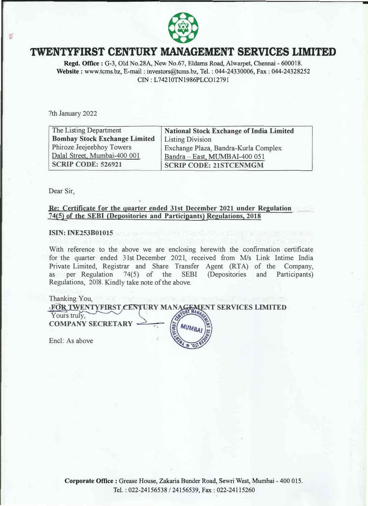

# **TWENTYFIRST CENTURY MANAGEMENT SERVICES LIMITED**

**Regd. Office:** G-3, Old No.28A, New No.67, Eldams Road, Aiwarpet, Chennai - 600018. **Website** : www.tcms.bz, E-mail : investors@tcms.bz, Tel. : 044-24330006, Fax : 044-24328252 CIN: L74210TN1986PLCO12791

7th January 2022

| The Listing Department               | <b>National Stock Exchange of India Limited</b> |
|--------------------------------------|-------------------------------------------------|
| <b>Bombay Stock Exchange Limited</b> | <b>Listing Division</b>                         |
| Phiroze Jeejeebhoy Towers            | Exchange Plaza, Bandra-Kurla Complex            |
| Dalal Street, Mumbai-400 001         | Bandra - East, MUMBAI-400 051                   |
| <b>SCRIP CODE: 526921</b>            | <b>SCRIP CODE: 21STCENMGM</b>                   |

Dear Sir,

### **Re: Certificate for the quarter ended 31st December 2021 under Regulation 74(5) of the SEBI (Depositories and Participants) Regulations, 2018**

#### **ISIN: INE253B01015**

With reference to the above we are enclosing herewith the confirmation certificate for the quarter ended 31st December 2021, received from *Mis* Link Intime India Private Limited, Registrar and Share Transfer Agent (RTA) of the Company, as per Regulation 74(5) of the SEBI (Depositories and Participants) as per Regulation 74(5) of the SEBI (Depositories and Participants) Regulations, 2018. Kindly take note of the above.

#### Thanking You,

Yours truly, ' **FOR** i **TWENTYFIRST CENTURY MANAGEMENT SERVICES LIMITED COMPANY SECRETARY** 

Encl: As above